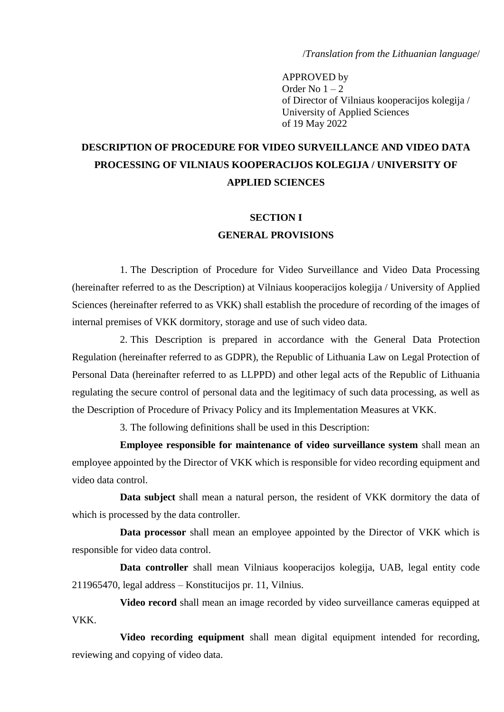/*Translation from the Lithuanian language*/

APPROVED by Order No  $1 - 2$ of Director of Vilniaus kooperacijos kolegija / University of Applied Sciences of 19 May 2022

# **DESCRIPTION OF PROCEDURE FOR VIDEO SURVEILLANCE AND VIDEO DATA PROCESSING OF VILNIAUS KOOPERACIJOS KOLEGIJA / UNIVERSITY OF APPLIED SCIENCES**

## **SECTION I GENERAL PROVISIONS**

1. The Description of Procedure for Video Surveillance and Video Data Processing (hereinafter referred to as the Description) at Vilniaus kooperacijos kolegija / University of Applied Sciences (hereinafter referred to as VKK) shall establish the procedure of recording of the images of internal premises of VKK dormitory, storage and use of such video data.

2. This Description is prepared in accordance with the General Data Protection Regulation (hereinafter referred to as GDPR), the Republic of Lithuania Law on Legal Protection of Personal Data (hereinafter referred to as LLPPD) and other legal acts of the Republic of Lithuania regulating the secure control of personal data and the legitimacy of such data processing, as well as the Description of Procedure of Privacy Policy and its Implementation Measures at VKK.

3. The following definitions shall be used in this Description:

**Employee responsible for maintenance of video surveillance system** shall mean an employee appointed by the Director of VKK which is responsible for video recording equipment and video data control.

**Data subject** shall mean a natural person, the resident of VKK dormitory the data of which is processed by the data controller.

**Data processor** shall mean an employee appointed by the Director of VKK which is responsible for video data control.

**Data controller** shall mean Vilniaus kooperacijos kolegija, UAB, legal entity code 211965470, legal address – Konstitucijos pr. 11, Vilnius.

**Video record** shall mean an image recorded by video surveillance cameras equipped at VKK.

**Video recording equipment** shall mean digital equipment intended for recording, reviewing and copying of video data.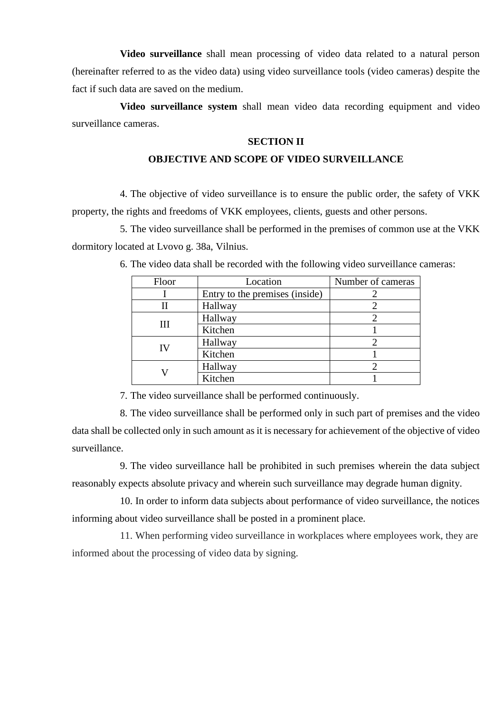**Video surveillance** shall mean processing of video data related to a natural person (hereinafter referred to as the video data) using video surveillance tools (video cameras) despite the fact if such data are saved on the medium.

**Video surveillance system** shall mean video data recording equipment and video surveillance cameras.

#### **SECTION II**

#### **OBJECTIVE AND SCOPE OF VIDEO SURVEILLANCE**

4. The objective of video surveillance is to ensure the public order, the safety of VKK property, the rights and freedoms of VKK employees, clients, guests and other persons.

5. The video surveillance shall be performed in the premises of common use at the VKK dormitory located at Lvovo g. 38a, Vilnius.

| Floor | Location                       | Number of cameras |
|-------|--------------------------------|-------------------|
|       | Entry to the premises (inside) |                   |
| Н     | Hallway                        |                   |
| Ш     | Hallway                        |                   |
|       | Kitchen                        |                   |
| IV    | Hallway                        |                   |
|       | Kitchen                        |                   |
|       | Hallway                        |                   |
|       | Kitchen                        |                   |

6. The video data shall be recorded with the following video surveillance cameras:

7. The video surveillance shall be performed continuously.

8. The video surveillance shall be performed only in such part of premises and the video data shall be collected only in such amount as it is necessary for achievement of the objective of video surveillance.

9. The video surveillance hall be prohibited in such premises wherein the data subject reasonably expects absolute privacy and wherein such surveillance may degrade human dignity.

10. In order to inform data subjects about performance of video surveillance, the notices informing about video surveillance shall be posted in a prominent place.

11. When performing video surveillance in workplaces where employees work, they are informed about the processing of video data by signing.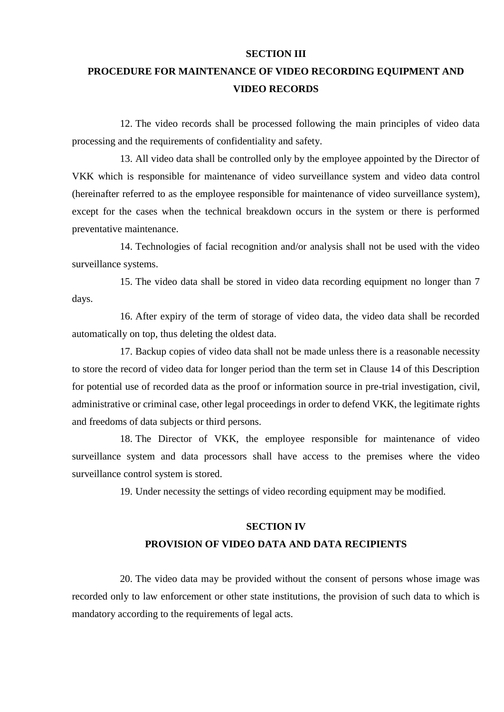#### **SECTION III**

## **PROCEDURE FOR MAINTENANCE OF VIDEO RECORDING EQUIPMENT AND VIDEO RECORDS**

12. The video records shall be processed following the main principles of video data processing and the requirements of confidentiality and safety.

13. All video data shall be controlled only by the employee appointed by the Director of VKK which is responsible for maintenance of video surveillance system and video data control (hereinafter referred to as the employee responsible for maintenance of video surveillance system), except for the cases when the technical breakdown occurs in the system or there is performed preventative maintenance.

14. Technologies of facial recognition and/or analysis shall not be used with the video surveillance systems.

15. The video data shall be stored in video data recording equipment no longer than 7 days.

16. After expiry of the term of storage of video data, the video data shall be recorded automatically on top, thus deleting the oldest data.

17. Backup copies of video data shall not be made unless there is a reasonable necessity to store the record of video data for longer period than the term set in Clause 14 of this Description for potential use of recorded data as the proof or information source in pre-trial investigation, civil, administrative or criminal case, other legal proceedings in order to defend VKK, the legitimate rights and freedoms of data subjects or third persons.

18. The Director of VKK, the employee responsible for maintenance of video surveillance system and data processors shall have access to the premises where the video surveillance control system is stored.

19. Under necessity the settings of video recording equipment may be modified.

### **SECTION IV PROVISION OF VIDEO DATA AND DATA RECIPIENTS**

20. The video data may be provided without the consent of persons whose image was recorded only to law enforcement or other state institutions, the provision of such data to which is mandatory according to the requirements of legal acts.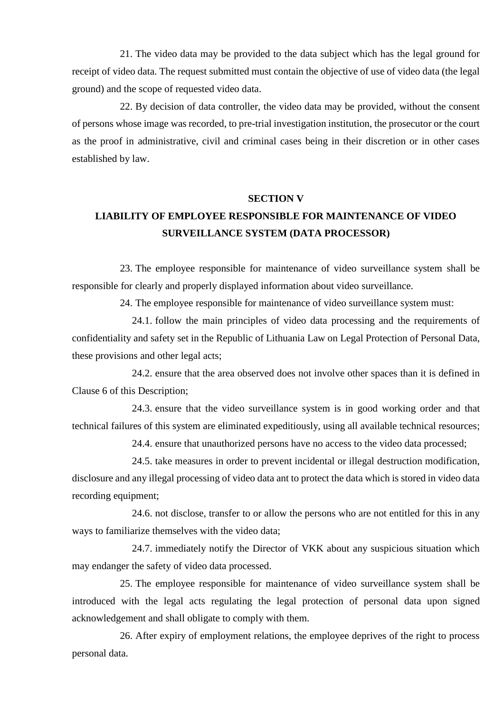21. The video data may be provided to the data subject which has the legal ground for receipt of video data. The request submitted must contain the objective of use of video data (the legal ground) and the scope of requested video data.

22. By decision of data controller, the video data may be provided, without the consent of persons whose image was recorded, to pre-trial investigation institution, the prosecutor or the court as the proof in administrative, civil and criminal cases being in their discretion or in other cases established by law.

#### **SECTION V**

#### **LIABILITY OF EMPLOYEE RESPONSIBLE FOR MAINTENANCE OF VIDEO SURVEILLANCE SYSTEM (DATA PROCESSOR)**

23. The employee responsible for maintenance of video surveillance system shall be responsible for clearly and properly displayed information about video surveillance.

24. The employee responsible for maintenance of video surveillance system must:

24.1. follow the main principles of video data processing and the requirements of confidentiality and safety set in the Republic of Lithuania Law on Legal Protection of Personal Data, these provisions and other legal acts;

24.2. ensure that the area observed does not involve other spaces than it is defined in Clause 6 of this Description;

24.3. ensure that the video surveillance system is in good working order and that technical failures of this system are eliminated expeditiously, using all available technical resources;

24.4. ensure that unauthorized persons have no access to the video data processed;

24.5. take measures in order to prevent incidental or illegal destruction modification, disclosure and any illegal processing of video data ant to protect the data which is stored in video data recording equipment;

24.6. not disclose, transfer to or allow the persons who are not entitled for this in any ways to familiarize themselves with the video data;

24.7. immediately notify the Director of VKK about any suspicious situation which may endanger the safety of video data processed.

25. The employee responsible for maintenance of video surveillance system shall be introduced with the legal acts regulating the legal protection of personal data upon signed acknowledgement and shall obligate to comply with them.

26. After expiry of employment relations, the employee deprives of the right to process personal data.